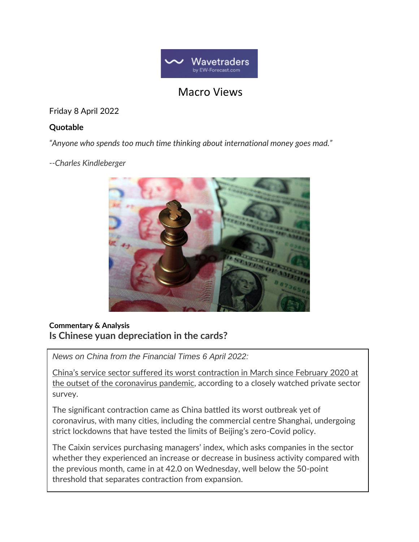

## Macro Views

Friday 8 April 2022

## **Quotable**

*"Anyone who spends too much time thinking about international money goes mad."*

*--Charles Kindleberger*



## **Commentary & Analysis Is Chinese yuan depreciation in the cards?**

*News on China from the Financial Times 6 April 2022:*

China's service sector suffered its worst contraction in March since February 2020 at the outset of the coronavirus pandemic, according to a closely watched private sector survey.

The significant contraction came as China battled its worst outbreak yet of coronavirus, with many cities, including the commercial centre Shanghai, undergoing strict lockdowns that have tested the limits of Beijing's zero-Covid policy.

The Caixin services purchasing managers' index, which asks companies in the sector whether they experienced an increase or decrease in business activity compared with the previous month, came in at 42.0 on Wednesday, well below the 50-point threshold that separates contraction from expansion.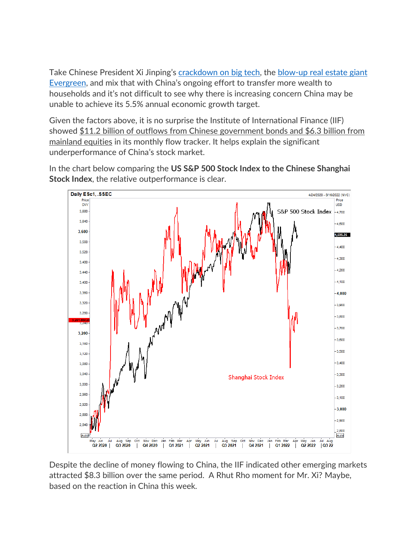Take Chinese President Xi Jinping's [crackdown on big tech,](https://nymag.com/intelligencer/2021/08/chinas-sweeping-crackdown-on-big-tech-is-a-wake-up-call.html) the [blow-up real estate giant](https://spectator.org/evergrande-crisis-highlights-vulnerabilities-in-chinas-economy/)  [Evergreen,](https://spectator.org/evergrande-crisis-highlights-vulnerabilities-in-chinas-economy/) and mix that with China's ongoing effort to transfer more wealth to households and it's not difficult to see why there is increasing concern China may be unable to achieve its 5.5% annual economic growth target.

Given the factors above, it is no surprise the Institute of International Finance (IIF) showed \$11.2 billion of outflows from Chinese government bonds and \$6.3 billion from mainland equities in its monthly flow tracker. It helps explain the significant underperformance of China's stock market.

Daily ESc1, .SSEC 4/24/2020 - 8/16/2022 (NYC) **Prins** Price **USD** CNY 3,680 S&P 500 Stock Index  $-4.700$ 3.640 4,600 3,600 4,506.25 3,560 4,400 3.520 4.300 3,480 4.200 3,440 4,100 3,400 3,360 4.000 3.320  $3,900$ 3,280  $3,800$ 3,700 3.200  $3,600$ 3,160 3,500  $3,120$  $3,400$ 3.080 3,040 3,300 Shanghai Stock Index 3,000 3,200 2,960  $3,100$ 2,920  $-3.000$ 2,880  $2.900$  $2,840$ 2,800 Auto Auto Nov Dec Oct Aug Jan Apr Q2 2020 Q3 2020 Q4 2020 Q1 2021 Q2 2021 Q3 2021 Q4 2021 Q1 2022 Q2 2022 Q3 22

In the chart below comparing the **US S&P 500 Stock Index to the Chinese Shanghai Stock Index**, the relative outperformance is clear.

Despite the decline of money flowing to China, the IIF indicated other emerging markets attracted \$8.3 billion over the same period. A Rhut Rho moment for Mr. Xi? Maybe, based on the reaction in China this week.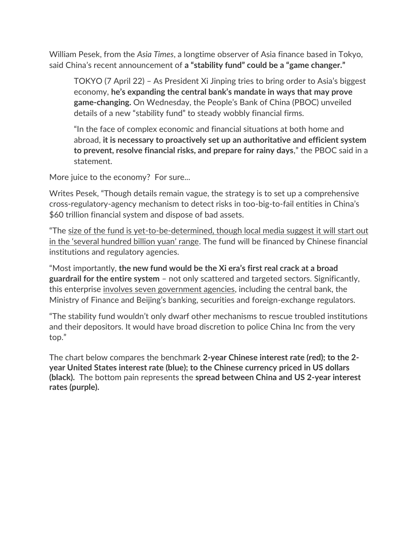William Pesek, from the *Asia Times*, a longtime observer of Asia finance based in Tokyo, said China's recent announcement of **a "stability fund" could be a "game changer."**

TOKYO (7 April 22) – As President Xi Jinping tries to bring order to Asia's biggest economy, **he's expanding the central bank's mandate in ways that may prove game-changing.** On Wednesday, the People's Bank of China (PBOC) unveiled details of a new "stability fund" to steady wobbly financial firms.

"In the face of complex economic and financial situations at both home and abroad, **it is necessary to proactively set up an authoritative and efficient system to prevent, resolve financial risks, and prepare for rainy days**," the PBOC said in a statement.

More juice to the economy? For sure...

Writes Pesek, "Though details remain vague, the strategy is to set up a comprehensive cross-regulatory-agency mechanism to detect risks in too-big-to-fail entities in China's \$60 trillion financial system and dispose of bad assets.

"The size of the fund is yet-to-be-determined, though local media suggest it will start out in the 'several hundred billion yuan' range. The fund will be financed by Chinese financial institutions and regulatory agencies.

"Most importantly, **the new fund would be the Xi era's first real crack at a broad guardrail for the entire system** – not only scattered and targeted sectors. Significantly, this enterprise involves seven government agencies, including the central bank, the Ministry of Finance and Beijing's banking, securities and foreign-exchange regulators.

"The stability fund wouldn't only dwarf other mechanisms to rescue troubled institutions and their depositors. It would have broad discretion to police China Inc from the very top."

The chart below compares the benchmark **2-year Chinese interest rate (red); to the 2 year United States interest rate (blue); to the Chinese currency priced in US dollars (black).** The bottom pain represents the **spread between China and US 2-year interest rates (purple).**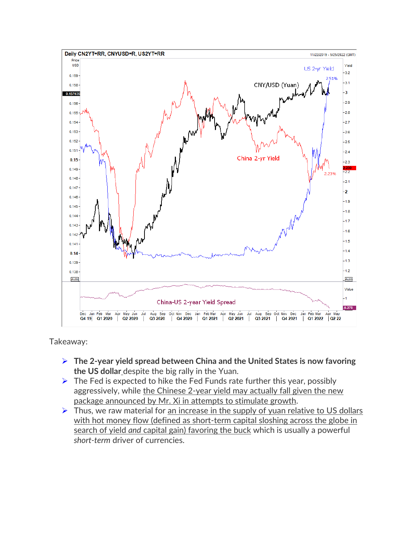

Takeaway:

- ➢ **The 2-year yield spread between China and the United States is now favoring the US dollar** despite the big rally in the Yuan.
- $\triangleright$  The Fed is expected to hike the Fed Funds rate further this year, possibly aggressively, while the Chinese 2-year yield may actually fall given the new package announced by Mr. Xi in attempts to stimulate growth.
- $\triangleright$  Thus, we raw material for an increase in the supply of yuan relative to US dollars with hot money flow (defined as short-term capital sloshing across the globe in search of yield *and* capital gain) favoring the buck which is usually a powerful *short-term* driver of currencies.